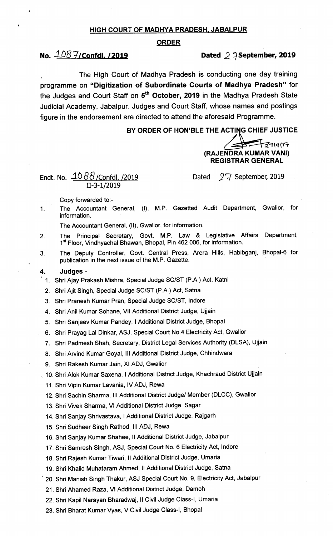### HIGH COURT OF MADHYA PRADESH. JABALPUR

#### ORDER

## No.  $\frac{1.08 \frac{1}{100}}$ Confdl. /2019 **Dated 2** 7 September, 2019

` The High Court of Madhya Pradesh is conducting one day training programme on "Digitization of Subordinate Courts of Madhya Pradesh" for the Judges and Court Staff on 5<sup>th</sup> October, 2019 in the Madhya Pradesh State Judicial Academy, Jabalpur. Judges and Court Staff, whose names and postings figure in the endorsement are directed to attend the aforesaid Programme.

## BY ORDER OF HON'BLE THE ACTING CHIEF JUSTICE

 $7119119$ (RAJENDRA KUMAR VANI) REGISTRAR GENERAL

 $\ddot{\phantom{0}}$ 

Endt. No.  $\angle 1088$  /Confdl. /2019 11-3-1/2019

Dated  $\sqrt{7}$  September, 2019

Copy forvarded to:-

The Accountant General, (I), M.P. Gazetted Audit Department, Gwalior, for  $1<sub>1</sub>$ information.

The Accountant General, (11), Gwalior, for information.

- The Principal Secretary, Govt. M.P. Law & Legislative Affairs Department,  $2.$ 1<sup>st</sup> Floor, Vindhyachal Bhawan, Bhopal, Pin 462 006, for information.
- The Deputy Controller, Govt. Central Press, Arera Hills, Habibganj, \Phopal-6 for  $3<sub>1</sub>$ publication in the next issue of the M.P. Gazette.

#### 4. Judges -

- ` 1. Shri Ajay Prakash Mishra, Special Judge SC/ST (P.A.) Act, Katni
- 2. Shri Ajit Singh, Special Judge SC/ST (P.A.) Act, Satna
- 3. Shri Pranesh Kumar Pran, Special Judge SC/ST, lndore
- 4. Shri Anil Kumar Sohane, Vll Additional District Judge, Ujjain
- 5. Shri Sanjeev Kumar Pandey, I Additional District Judge, Bhopal
- 6. Shri Prayag Lal Dinkar, ASJ, Special Court No.4 Electricity Act, Gwalior
- 7. Shri Padmesh Shah, Secretary, District Legal Services Aiithority (DLSA), Ujjain
- 8. Shri Arvind Kumar Goyal, III Additional District Judge, Chhindwara
- 9. Shri Rakesh Kumar Jain, XI ADJ, Gwalior
- . 10. Shri Alok Kumar Saxena, I Additional District Judge, Khachraud District Ujjain
	- 11. Shri Vipin Kumar Lavania, lv ADJ, Rewa
	- 12. Shri Sachin Sharma, III Additional District Judge/ Member (DLCC), Gwalior
	- 13. Shri Vivek Sharma, VI Additional District Judge, Sagar
	- 14. Shri Sanjay Shrivastava, I Additional District Judge, Rajgarh
	- 15. Shri Sudheer Singh Rathod, III ADJ, Rewa
	- 16. Shri Sanjay Kumar Shahee, II Additional District Judge, Jabalpur
	- 17. Shri Samresh Singh, ASJ, Special Court No. 6 Electricity Act, lndore
	- 18. Shri Rajesh Kumar Tiwari, II Additional District Judge, Umaria
	- 19. Shri Khalid Muhataram Ahmed, II Additional District Judge, Satna
	- ` 20. Shri Manish Singh Thakur, ASJ Special Court No. 9, Electricity Act, Jabalpur
	- 21. Shri Ahamed Raza, VI Additional District Judge, Damoh
	- 22. Shri Kapil Narayan Bharadwaj, Il Civil Judge Class-I, Umaria
	- 23. Shri Bharat Kumar Vyas, V Civil Judge Class-I, Bhopal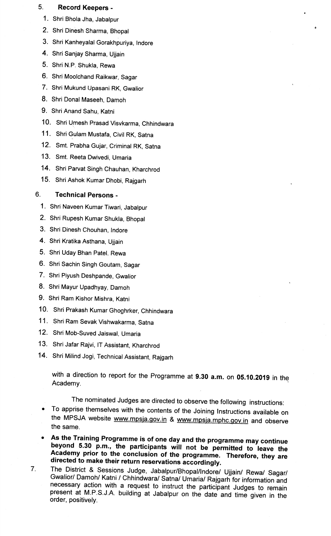## 5. Record Keepers -

- 1. Shri Bhola Jha, Jabalpur
- 2. Shri Dinesh Sharma, Bhopal
- 3. Shri Kanheyalal Gorakhpuriya, lndore
- 4. Shri Sanjay Sharma, Ujjain
- 5. Shri N.P. Shukla, Rewa
- 6. Shri Moolchand Raikwar, Sagar
- 7. Shri Mukund Upasani RK, Gwalior
- 8. Shri Donal Maseeh, Damoh
- 9. Shri Anand Sahu, Katni
- 10. Shri Umesh Prasad Visvkarma, Chhindwara
- 11. Shri Gulam Mustafa, Civil RK, Satna
- 12. Smt. Prabha Gujar, Criminal RK, Satna
- 13. Smt. Reeta Dwivedi, Umaria
- 14. Shri Parvat Singh Chauhan, Kharchrod
- 15. Shri Ashok Kumar Dhobi, Rajgarh

# 6. Technical Persons -

- 1. Shri Naveen Kumar Tiwari, Jabalpur
- 2. Shri Rupesh Kumar Shukla, Bhopal
- 3. Shri Dinesh Chouhan, Indore
- 4. Shri Kratika Asthana, Ujjain
- 5. Shri Uday Bhan Patel, Rewa
- 6. Shri Sachin Singh Goutam, Sagar
- 7. Shri Piyush Deshpande, Gwalior
- 8. Shri Mayur Upadhyay, Damoh
- 9. Shri Ram Kishor Mishra, Katni
- 10. Shri Prakash Kumar Ghoghrker, Chhindwara
- 11. Shri Ram Sevak Vishwakarma, Satna
- 12. Shri Mob-Suved Jaiswal, Umaria
- 13. Shri Jafar Rajvi, IT Assistant, Kharchrod
- 14. Shri Milind Jogi, Technical Assistant, Rajgarh

with a direction to report for the Programme at  $9.30$  a.m. on 05.10.2019 in the Academy. `

The nominated Judges are directed to observe the following instructions:

- To apprise themselves with the contents of the Joining Instructions available on the MPSJA website www.mpsja.gov.in & www.mpsja.mphc.gov.in and observe the same.
- As the Training Programme is of one day and the programme may continue beyond 5.30 p.m., the participants will not be permitted to leave the Academy prior to the conclusion of the programme. Therefore, they are directed to make their return reservations accordingly.
- The District & Sessions Judge, Jabalpur/Bhopal/Indore/ Ujjain/ Rewa/ Sagar/  $7<sub>1</sub>$ Gwalior/ Damoh/ Katni / Chhindwara/ Satna/ Umaria/ Rajgarh for information and necessary action with a request to instruct the participant Judges to remain present at M.P.S.J.A. building at Jabalpur on the date and time given in the order, positively.